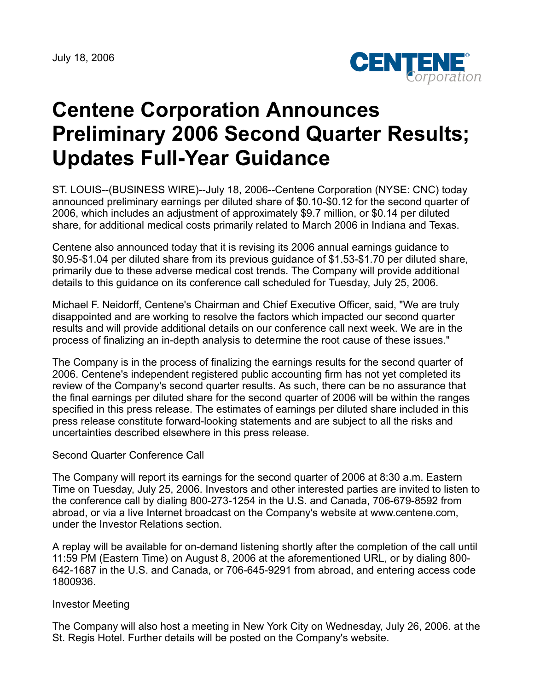July 18, 2006



## **Centene Corporation Announces Preliminary 2006 Second Quarter Results; Updates Full-Year Guidance**

ST. LOUIS--(BUSINESS WIRE)--July 18, 2006--Centene Corporation (NYSE: CNC) today announced preliminary earnings per diluted share of \$0.10-\$0.12 for the second quarter of 2006, which includes an adjustment of approximately \$9.7 million, or \$0.14 per diluted share, for additional medical costs primarily related to March 2006 in Indiana and Texas.

Centene also announced today that it is revising its 2006 annual earnings guidance to \$0.95-\$1.04 per diluted share from its previous guidance of \$1.53-\$1.70 per diluted share, primarily due to these adverse medical cost trends. The Company will provide additional details to this guidance on its conference call scheduled for Tuesday, July 25, 2006.

Michael F. Neidorff, Centene's Chairman and Chief Executive Officer, said, "We are truly disappointed and are working to resolve the factors which impacted our second quarter results and will provide additional details on our conference call next week. We are in the process of finalizing an in-depth analysis to determine the root cause of these issues."

The Company is in the process of finalizing the earnings results for the second quarter of 2006. Centene's independent registered public accounting firm has not yet completed its review of the Company's second quarter results. As such, there can be no assurance that the final earnings per diluted share for the second quarter of 2006 will be within the ranges specified in this press release. The estimates of earnings per diluted share included in this press release constitute forward-looking statements and are subject to all the risks and uncertainties described elsewhere in this press release.

## Second Quarter Conference Call

The Company will report its earnings for the second quarter of 2006 at 8:30 a.m. Eastern Time on Tuesday, July 25, 2006. Investors and other interested parties are invited to listen to the conference call by dialing 800-273-1254 in the U.S. and Canada, 706-679-8592 from abroad, or via a live Internet broadcast on the Company's website at www.centene.com, under the Investor Relations section.

A replay will be available for on-demand listening shortly after the completion of the call until 11:59 PM (Eastern Time) on August 8, 2006 at the aforementioned URL, or by dialing 800- 642-1687 in the U.S. and Canada, or 706-645-9291 from abroad, and entering access code 1800936.

## Investor Meeting

The Company will also host a meeting in New York City on Wednesday, July 26, 2006. at the St. Regis Hotel. Further details will be posted on the Company's website.